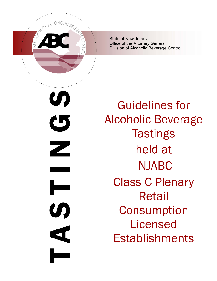

State of New Jersey Office of the Attorney General Division of Alcoholic Beverage Control

N<br>N<br>D<br>N<br>S<br>N<br>S<br>N<br>S<br>N<br>S<br>D<br>N<br>S<br>D<br>D<br><br> $\blacksquare$ U)  $\mathbf G$ Z H U  $\blacktriangleleft$ 

Guidelines for Alcoholic Beverage **Tastings** held at NJABC Class C Plenary Retail **Consumption** Licensed **Establishments**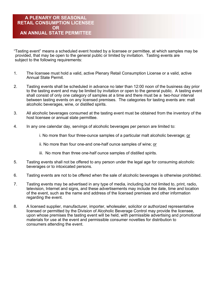## **A PLENARY OR SEASONAL RETAIL CONSUMPTION LICENSEE OR AN ANNUAL STATE PERMITTEE**

"Tasting event" means a scheduled event hosted by a licensee or permittee, at which samples may be provided, that may be open to the general public or limited by invitation. Tasting events are subject to the following requirements:

- 1. The licensee must hold a valid, active Plenary Retail Consumption License or a valid, active Annual State Permit.
- 2. Tasting events shall be scheduled in advance no later than 12:00 noon of the business day prior to the tasting event and may be limited by invitation or open to the general public. A tasting event shall consist of only one category of samples at a time and there must be a two-hour interval between tasting events on any licensed premises. The categories for tasting events are: malt alcoholic beverages, wine, or distilled spirits.
- 3. All alcoholic beverages consumed at the tasting event must be obtained from the inventory of the host licensee or annual state permittee.
- 4. In any one calendar day, servings of alcoholic beverages per person are limited to:

i. No more than four three-ounce samples of a particular malt alcoholic beverage; or

ii. No more than four one-and one-half ounce samples of wine; or

- iii. No more than three one-half ounce samples of distilled spirits.
- 5. Tasting events shall not be offered to any person under the legal age for consuming alcoholic beverages or to intoxicated persons.
- 6. Tasting events are not to be offered when the sale of alcoholic beverages is otherwise prohibited.
- 7. Tasting events may be advertised in any type of media, including but not limited to, print, radio, television, Internet and signs, and these advertisements may include the date, time and location of the event, such as the name and address of the licensed premises and other information regarding the event.
- 8. A licensed supplier, manufacturer, importer, wholesaler, solicitor or authorized representative licensed or permitted by the Division of Alcoholic Beverage Control may provide the licensee, upon whose premises the tasting event will be held, with permissible advertising and promotional materials for use at the event and permissible consumer novelties for distribution to consumers attending the event.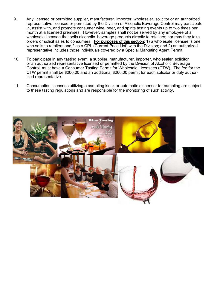- 9. Any licensed or permitted supplier, manufacturer, importer, wholesaler, solicitor or an authorized representative licensed or permitted by the Division of Alcoholic Beverage Control may participate in, assist with, and promote consumer wine, beer, and spirits tasting events up to two times per month at a licensed premises. However, samples shall not be served by any employee of a wholesale licensee that sells alcoholic beverage products directly to retailers; nor may they take orders or solicit sales to consumers. **For purposes of this section**: 1) a wholesale licensee is one who sells to retailers and files a CPL (Current Price List) with the Division; and 2) an authorized representative includes those individuals covered by a Special Marketing Agent Permit.
- 10. To participate in any tasting event, a supplier, manufacturer, importer, wholesaler, solicitor or an authorized representative licensed or permitted by the Division of Alcoholic Beverage Control, must have a Consumer Tasting Permit for Wholesale Licensees (CTW). The fee for the CTW permit shall be \$200.00 and an additional \$200.00 permit for each solicitor or duly authorized representative.
- 11. Consumption licensees utilizing a sampling kiosk or automatic dispenser for sampling are subject to these tasting regulations and are responsible for the monitoring of such activity.